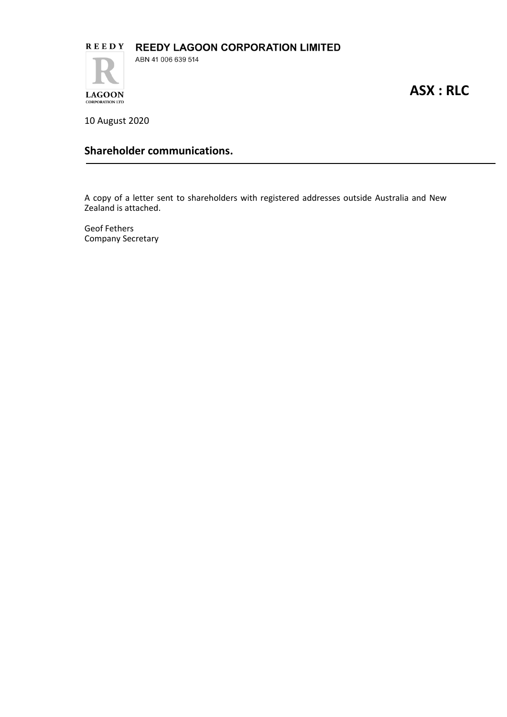

**ASX : RLC**

10 August 2020

**CORPORATION LTD** 

## **Shareholder communications.**

A copy of a letter sent to shareholders with registered addresses outside Australia and New Zealand is attached.

Geof Fethers Company Secretary